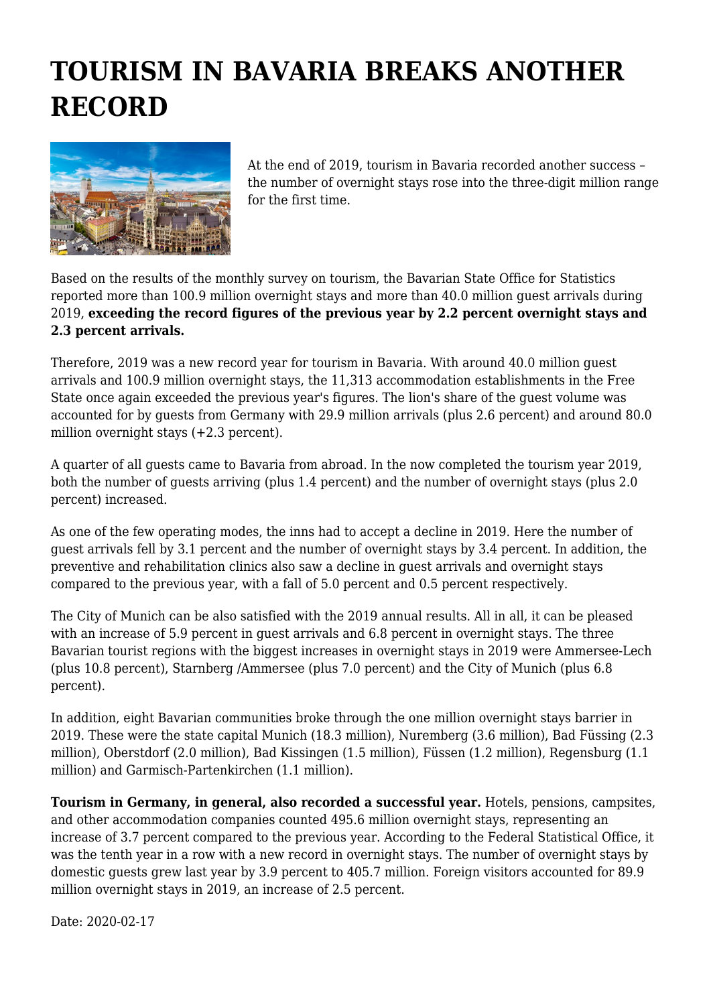## **TOURISM IN BAVARIA BREAKS ANOTHER RECORD**



At the end of 2019, tourism in Bavaria recorded another success – the number of overnight stays rose into the three-digit million range for the first time.

Based on the results of the monthly survey on tourism, the Bavarian State Office for Statistics reported more than 100.9 million overnight stays and more than 40.0 million guest arrivals during 2019, **exceeding the record figures of the previous year by 2.2 percent overnight stays and 2.3 percent arrivals.**

Therefore, 2019 was a new record year for tourism in Bavaria. With around 40.0 million guest arrivals and 100.9 million overnight stays, the 11,313 accommodation establishments in the Free State once again exceeded the previous year's figures. The lion's share of the guest volume was accounted for by guests from Germany with 29.9 million arrivals (plus 2.6 percent) and around 80.0 million overnight stays  $(+2.3$  percent).

A quarter of all guests came to Bavaria from abroad. In the now completed the tourism year 2019, both the number of guests arriving (plus 1.4 percent) and the number of overnight stays (plus 2.0 percent) increased.

As one of the few operating modes, the inns had to accept a decline in 2019. Here the number of guest arrivals fell by 3.1 percent and the number of overnight stays by 3.4 percent. In addition, the preventive and rehabilitation clinics also saw a decline in guest arrivals and overnight stays compared to the previous year, with a fall of 5.0 percent and 0.5 percent respectively.

The City of Munich can be also satisfied with the 2019 annual results. All in all, it can be pleased with an increase of 5.9 percent in guest arrivals and 6.8 percent in overnight stays. The three Bavarian tourist regions with the biggest increases in overnight stays in 2019 were Ammersee-Lech (plus 10.8 percent), Starnberg /Ammersee (plus 7.0 percent) and the City of Munich (plus 6.8 percent).

In addition, eight Bavarian communities broke through the one million overnight stays barrier in 2019. These were the state capital Munich (18.3 million), Nuremberg (3.6 million), Bad Füssing (2.3 million), Oberstdorf (2.0 million), Bad Kissingen (1.5 million), Füssen (1.2 million), Regensburg (1.1 million) and Garmisch-Partenkirchen (1.1 million).

**Tourism in Germany, in general, also recorded a successful year.** Hotels, pensions, campsites, and other accommodation companies counted 495.6 million overnight stays, representing an increase of 3.7 percent compared to the previous year. According to the Federal Statistical Office, it was the tenth year in a row with a new record in overnight stays. The number of overnight stays by domestic guests grew last year by 3.9 percent to 405.7 million. Foreign visitors accounted for 89.9 million overnight stays in 2019, an increase of 2.5 percent.

Date: 2020-02-17